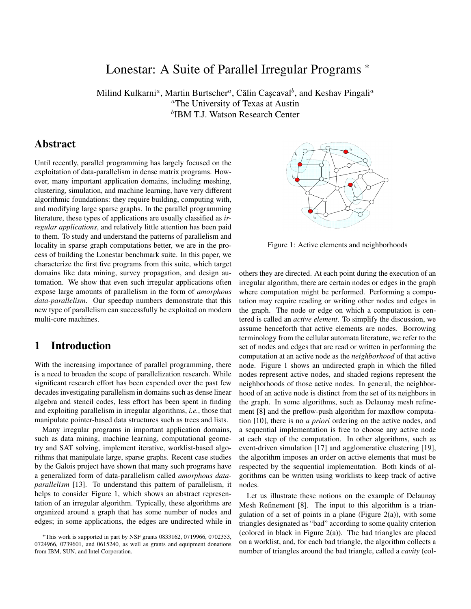# Lonestar: A Suite of Parallel Irregular Programs <sup>∗</sup>

Milind Kulkarni<sup>a</sup>, Martin Burtscher<sup>a</sup>, Călin Caşcaval<sup>b</sup>, and Keshav Pingali<sup>a</sup> <sup>a</sup>The University of Texas at Austin b IBM T.J. Watson Research Center

## Abstract

Until recently, parallel programming has largely focused on the exploitation of data-parallelism in dense matrix programs. However, many important application domains, including meshing, clustering, simulation, and machine learning, have very different algorithmic foundations: they require building, computing with, and modifying large sparse graphs. In the parallel programming literature, these types of applications are usually classified as *irregular applications*, and relatively little attention has been paid to them. To study and understand the patterns of parallelism and locality in sparse graph computations better, we are in the process of building the Lonestar benchmark suite. In this paper, we characterize the first five programs from this suite, which target domains like data mining, survey propagation, and design automation. We show that even such irregular applications often expose large amounts of parallelism in the form of *amorphous data-parallelism*. Our speedup numbers demonstrate that this new type of parallelism can successfully be exploited on modern multi-core machines.

## 1 Introduction

With the increasing importance of parallel programming, there is a need to broaden the scope of parallelization research. While significant research effort has been expended over the past few decades investigating parallelism in domains such as dense linear algebra and stencil codes, less effort has been spent in finding and exploiting parallelism in irregular algorithms, *i.e.*, those that manipulate pointer-based data structures such as trees and lists.

Many irregular programs in important application domains, such as data mining, machine learning, computational geometry and SAT solving, implement iterative, worklist-based algorithms that manipulate large, sparse graphs. Recent case studies by the Galois project have shown that many such programs have a generalized form of data-parallelism called *amorphous dataparallelism* [13]. To understand this pattern of parallelism, it helps to consider Figure 1, which shows an abstract representation of an irregular algorithm. Typically, these algorithms are organized around a graph that has some number of nodes and edges; in some applications, the edges are undirected while in



Figure 1: Active elements and neighborhoods

others they are directed. At each point during the execution of an irregular algorithm, there are certain nodes or edges in the graph where computation might be performed. Performing a computation may require reading or writing other nodes and edges in the graph. The node or edge on which a computation is centered is called an *active element*. To simplify the discussion, we assume henceforth that active elements are nodes. Borrowing terminology from the cellular automata literature, we refer to the set of nodes and edges that are read or written in performing the computation at an active node as the *neighborhood* of that active node. Figure 1 shows an undirected graph in which the filled nodes represent active nodes, and shaded regions represent the neighborhoods of those active nodes. In general, the neighborhood of an active node is distinct from the set of its neighbors in the graph. In some algorithms, such as Delaunay mesh refinement [8] and the preflow-push algorithm for maxflow computation [10], there is no *a priori* ordering on the active nodes, and a sequential implementation is free to choose any active node at each step of the computation. In other algorithms, such as event-driven simulation [17] and agglomerative clustering [19], the algorithm imposes an order on active elements that must be respected by the sequential implementation. Both kinds of algorithms can be written using worklists to keep track of active nodes.

Let us illustrate these notions on the example of Delaunay Mesh Refinement [8]. The input to this algorithm is a triangulation of a set of points in a plane (Figure 2(a)), with some triangles designated as "bad" according to some quality criterion (colored in black in Figure 2(a)). The bad triangles are placed on a worklist, and, for each bad triangle, the algorithm collects a number of triangles around the bad triangle, called a *cavity* (col-

<sup>∗</sup>This work is supported in part by NSF grants 0833162, 0719966, 0702353, 0724966, 0739601, and 0615240, as well as grants and equipment donations from IBM, SUN, and Intel Corporation.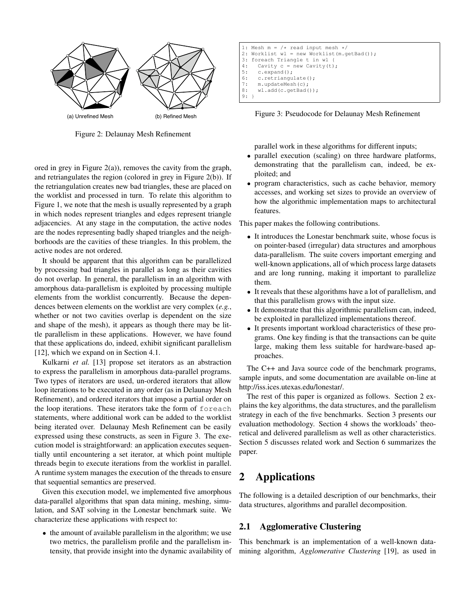

Figure 2: Delaunay Mesh Refinement

ored in grey in Figure 2(a)), removes the cavity from the graph, and retriangulates the region (colored in grey in Figure 2(b)). If the retriangulation creates new bad triangles, these are placed on the worklist and processed in turn. To relate this algorithm to Figure 1, we note that the mesh is usually represented by a graph in which nodes represent triangles and edges represent triangle adjacencies. At any stage in the computation, the active nodes are the nodes representing badly shaped triangles and the neighborhoods are the cavities of these triangles. In this problem, the active nodes are not ordered.

It should be apparent that this algorithm can be parallelized by processing bad triangles in parallel as long as their cavities do not overlap. In general, the parallelism in an algorithm with amorphous data-parallelism is exploited by processing multiple elements from the worklist concurrently. Because the dependences between elements on the worklist are very complex (*e.g.*, whether or not two cavities overlap is dependent on the size and shape of the mesh), it appears as though there may be little parallelism in these applications. However, we have found that these applications do, indeed, exhibit significant parallelism [12], which we expand on in Section 4.1.

Kulkarni *et al.* [13] propose set iterators as an abstraction to express the parallelism in amorphous data-parallel programs. Two types of iterators are used, un-ordered iterators that allow loop iterations to be executed in any order (as in Delaunay Mesh Refinement), and ordered iterators that impose a partial order on the loop iterations. These iterators take the form of foreach statements, where additional work can be added to the worklist being iterated over. Delaunay Mesh Refinement can be easily expressed using these constructs, as seen in Figure 3. The execution model is straightforward: an application executes sequentially until encountering a set iterator, at which point multiple threads begin to execute iterations from the worklist in parallel. A runtime system manages the execution of the threads to ensure that sequential semantics are preserved.

Given this execution model, we implemented five amorphous data-parallel algorithms that span data mining, meshing, simulation, and SAT solving in the Lonestar benchmark suite. We characterize these applications with respect to:

• the amount of available parallelism in the algorithm; we use two metrics, the parallelism profile and the parallelism intensity, that provide insight into the dynamic availability of

| 1: Mesh m = $/*$ read input mesh $*/$                                                                                                  |
|----------------------------------------------------------------------------------------------------------------------------------------|
| 2: Worklist wl = new Worklist $(m.getBad())$ ;                                                                                         |
| 3: foreach Triangle t in wl {                                                                                                          |
| $ 4:$ Cavity c = new Cavity (t);                                                                                                       |
| 5: $c.\text{expand}()$ ;<br>6: $c.\text{retriangular}(i)$ ;<br>7: $m.\text{updateMesh}(c)$ ;<br>8: $w1.\text{add}(c.\text{getBad}(i))$ |
|                                                                                                                                        |
|                                                                                                                                        |
| $wl.add(c.getBad())$ ;                                                                                                                 |
|                                                                                                                                        |
|                                                                                                                                        |

Figure 3: Pseudocode for Delaunay Mesh Refinement

parallel work in these algorithms for different inputs;

- parallel execution (scaling) on three hardware platforms, demonstrating that the parallelism can, indeed, be exploited; and
- program characteristics, such as cache behavior, memory accesses, and working set sizes to provide an overview of how the algorithmic implementation maps to architectural features.

This paper makes the following contributions.

- It introduces the Lonestar benchmark suite, whose focus is on pointer-based (irregular) data structures and amorphous data-parallelism. The suite covers important emerging and well-known applications, all of which process large datasets and are long running, making it important to parallelize them.
- It reveals that these algorithms have a lot of parallelism, and that this parallelism grows with the input size.
- It demonstrate that this algorithmic parallelism can, indeed, be exploited in parallelized implementations thereof.
- It presents important workload characteristics of these programs. One key finding is that the transactions can be quite large, making them less suitable for hardware-based approaches.

The C++ and Java source code of the benchmark programs, sample inputs, and some documentation are available on-line at http://iss.ices.utexas.edu/lonestar/.

The rest of this paper is organized as follows. Section 2 explains the key algorithms, the data structures, and the parallelism strategy in each of the five benchmarks. Section 3 presents our evaluation methodology. Section 4 shows the workloads' theoretical and delivered parallelism as well as other characteristics. Section 5 discusses related work and Section 6 summarizes the paper.

## 2 Applications

The following is a detailed description of our benchmarks, their data structures, algorithms and parallel decomposition.

### 2.1 Agglomerative Clustering

This benchmark is an implementation of a well-known datamining algorithm, *Agglomerative Clustering* [19], as used in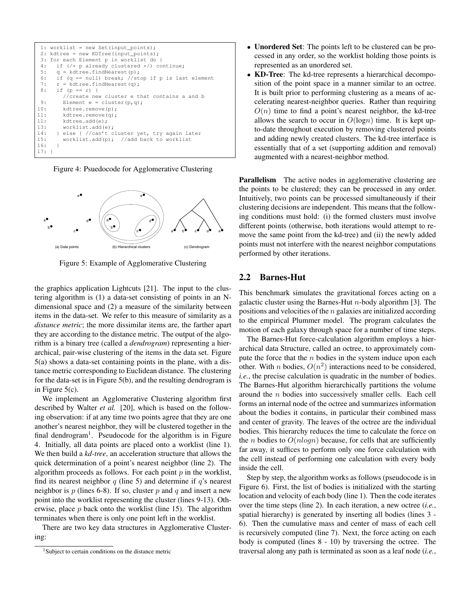

Figure 4: Psuedocode for Agglomerative Clustering



Figure 5: Example of Agglomerative Clustering

the graphics application Lightcuts [21]. The input to the clustering algorithm is (1) a data-set consisting of points in an Ndimensional space and (2) a measure of the similarity between items in the data-set. We refer to this measure of similarity as a *distance metric*; the more dissimilar items are, the farther apart they are according to the distance metric. The output of the algorithm is a binary tree (called a *dendrogram*) representing a hierarchical, pair-wise clustering of the items in the data set. Figure 5(a) shows a data-set containing points in the plane, with a distance metric corresponding to Euclidean distance. The clustering for the data-set is in Figure 5(b), and the resulting dendrogram is in Figure 5(c).

We implement an Agglomerative Clustering algorithm first described by Walter *et al.* [20], which is based on the following observation: if at any time two points agree that they are one another's nearest neighbor, they will be clustered together in the final dendrogram<sup>1</sup>. Pseudocode for the algorithm is in Figure 4. Initially, all data points are placed onto a worklist (line 1). We then build a *kd-tree*, an acceleration structure that allows the quick determination of a point's nearest neighbor (line 2). The algorithm proceeds as follows. For each point  $p$  in the worklist, find its nearest neighbor  $q$  (line 5) and determine if  $q$ 's nearest neighbor is  $p$  (lines 6-8). If so, cluster  $p$  and  $q$  and insert a new point into the worklist representing the cluster (lines 9-13). Otherwise, place  $p$  back onto the worklist (line 15). The algorithm terminates when there is only one point left in the worklist.

There are two key data structures in Agglomerative Clustering:

- Unordered Set: The points left to be clustered can be processed in any order, so the worklist holding those points is represented as an unordered set.
- KD-Tree: The kd-tree represents a hierarchical decomposition of the point space in a manner similar to an octree. It is built prior to performing clustering as a means of accelerating nearest-neighbor queries. Rather than requiring  $O(n)$  time to find a point's nearest neighbor, the kd-tree allows the search to occur in  $O(log n)$  time. It is kept upto-date throughout execution by removing clustered points and adding newly created clusters. The kd-tree interface is essentially that of a set (supporting addition and removal) augmented with a nearest-neighbor method.

**Parallelism** The active nodes in agglomerative clustering are the points to be clustered; they can be processed in any order. Intuitively, two points can be processed simultaneously if their clustering decisions are independent. This means that the following conditions must hold: (i) the formed clusters must involve different points (otherwise, both iterations would attempt to remove the same point from the kd-tree) and (ii) the newly added points must not interfere with the nearest neighbor computations performed by other iterations.

#### 2.2 Barnes-Hut

This benchmark simulates the gravitational forces acting on a galactic cluster using the Barnes-Hut  $n$ -body algorithm [3]. The positions and velocities of the n galaxies are initialized according to the empirical Plummer model. The program calculates the motion of each galaxy through space for a number of time steps.

The Barnes-Hut force-calculation algorithm employs a hierarchical data Structure, called an octree, to approximately compute the force that the  $n$  bodies in the system induce upon each other. With *n* bodies,  $O(n^2)$  interactions need to be considered, *i.e.*, the precise calculation is quadratic in the number of bodies. The Barnes-Hut algorithm hierarchically partitions the volume around the n bodies into successively smaller cells. Each cell forms an internal node of the octree and summarizes information about the bodies it contains, in particular their combined mass and center of gravity. The leaves of the octree are the individual bodies. This hierarchy reduces the time to calculate the force on the *n* bodies to  $O(n \log n)$  because, for cells that are sufficiently far away, it suffices to perform only one force calculation with the cell instead of performing one calculation with every body inside the cell.

Step by step, the algorithm works as follows (pseudocode is in Figure 6). First, the list of bodies is initialized with the starting location and velocity of each body (line 1). Then the code iterates over the time steps (line 2). In each iteration, a new octree (*i.e.*, spatial hierarchy) is generated by inserting all bodies (lines 3 - 6). Then the cumulative mass and center of mass of each cell is recursively computed (line 7). Next, the force acting on each body is computed (lines 8 - 10) by traversing the octree. The traversal along any path is terminated as soon as a leaf node (*i.e.*,

<sup>&</sup>lt;sup>1</sup>Subject to certain conditions on the distance metric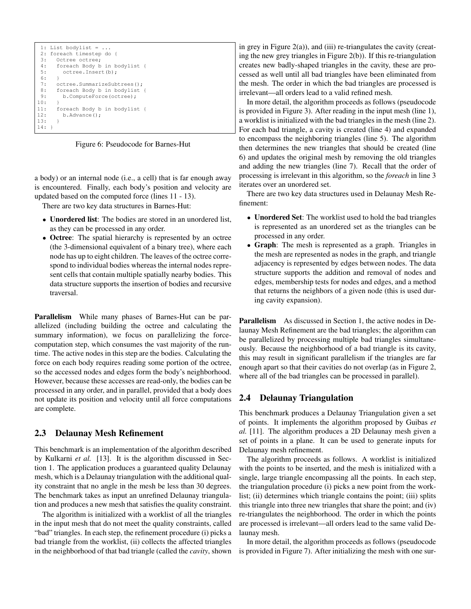```
1: List bodylist = ...
 2: foreach timestep do {
3: Octree octree;
 4: foreach Body b in bodylist {
5: octree.Insert(b);
 6: \qquad \}7: octree.SummarizeSubtrees();
 8: foreach Body b in bodylist {
 9: b.ComputeForce(octree);
10: }
11: foreach Body b in bodylist {
12: b.Advance();
13:14: }
```
Figure 6: Pseudocode for Barnes-Hut

a body) or an internal node (i.e., a cell) that is far enough away is encountered. Finally, each body's position and velocity are updated based on the computed force (lines 11 - 13).

There are two key data structures in Barnes-Hut:

- Unordered list: The bodies are stored in an unordered list, as they can be processed in any order.
- Octree: The spatial hierarchy is represented by an octree (the 3-dimensional equivalent of a binary tree), where each node has up to eight children. The leaves of the octree correspond to individual bodies whereas the internal nodes represent cells that contain multiple spatially nearby bodies. This data structure supports the insertion of bodies and recursive traversal.

Parallelism While many phases of Barnes-Hut can be parallelized (including building the octree and calculating the summary information), we focus on parallelizing the forcecomputation step, which consumes the vast majority of the runtime. The active nodes in this step are the bodies. Calculating the force on each body requires reading some portion of the octree, so the accessed nodes and edges form the body's neighborhood. However, because these accesses are read-only, the bodies can be processed in any order, and in parallel, provided that a body does not update its position and velocity until all force computations are complete.

### 2.3 Delaunay Mesh Refinement

This benchmark is an implementation of the algorithm described by Kulkarni *et al.* [13]. It is the algorithm discussed in Section 1. The application produces a guaranteed quality Delaunay mesh, which is a Delaunay triangulation with the additional quality constraint that no angle in the mesh be less than 30 degrees. The benchmark takes as input an unrefined Delaunay triangulation and produces a new mesh that satisfies the quality constraint.

The algorithm is initialized with a worklist of all the triangles in the input mesh that do not meet the quality constraints, called "bad" triangles. In each step, the refinement procedure (i) picks a bad triangle from the worklist, (ii) collects the affected triangles in the neighborhood of that bad triangle (called the *cavity*, shown in grey in Figure  $2(a)$ ), and (iii) re-triangulates the cavity (creating the new grey triangles in Figure 2(b)). If this re-triangulation creates new badly-shaped triangles in the cavity, these are processed as well until all bad triangles have been eliminated from the mesh. The order in which the bad triangles are processed is irrelevant—all orders lead to a valid refined mesh.

In more detail, the algorithm proceeds as follows (pseudocode is provided in Figure 3). After reading in the input mesh (line 1), a worklist is initialized with the bad triangles in the mesh (line 2). For each bad triangle, a cavity is created (line 4) and expanded to encompass the neighboring triangles (line 5). The algorithm then determines the new triangles that should be created (line 6) and updates the original mesh by removing the old triangles and adding the new triangles (line 7). Recall that the order of processing is irrelevant in this algorithm, so the *foreach* in line 3 iterates over an unordered set.

There are two key data structures used in Delaunay Mesh Refinement:

- Unordered Set: The worklist used to hold the bad triangles is represented as an unordered set as the triangles can be processed in any order.
- Graph: The mesh is represented as a graph. Triangles in the mesh are represented as nodes in the graph, and triangle adjacency is represented by edges between nodes. The data structure supports the addition and removal of nodes and edges, membership tests for nodes and edges, and a method that returns the neighbors of a given node (this is used during cavity expansion).

Parallelism As discussed in Section 1, the active nodes in Delaunay Mesh Refinement are the bad triangles; the algorithm can be parallelized by processing multiple bad triangles simultaneously. Because the neighborhood of a bad triangle is its cavity, this may result in significant parallelism if the triangles are far enough apart so that their cavities do not overlap (as in Figure 2, where all of the bad triangles can be processed in parallel).

### 2.4 Delaunay Triangulation

This benchmark produces a Delaunay Triangulation given a set of points. It implements the algorithm proposed by Guibas *et al.* [11]. The algorithm produces a 2D Delaunay mesh given a set of points in a plane. It can be used to generate inputs for Delaunay mesh refinement.

The algorithm proceeds as follows. A worklist is initialized with the points to be inserted, and the mesh is initialized with a single, large triangle encompassing all the points. In each step, the triangulation procedure (i) picks a new point from the worklist; (ii) determines which triangle contains the point; (iii) splits this triangle into three new triangles that share the point; and (iv) re-triangulates the neighborhood. The order in which the points are processed is irrelevant—all orders lead to the same valid Delaunay mesh.

In more detail, the algorithm proceeds as follows (pseudocode is provided in Figure 7). After initializing the mesh with one sur-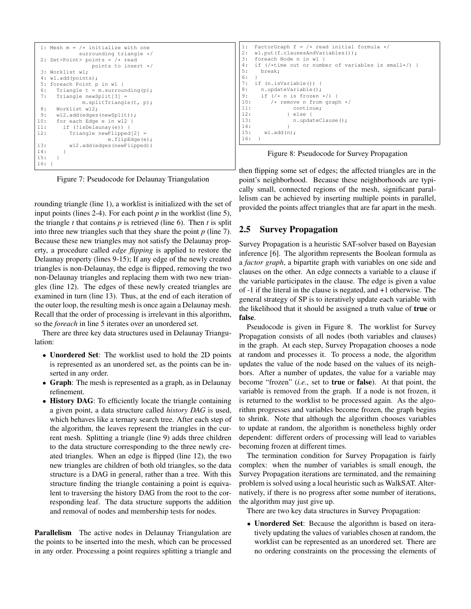```
1: Mesh m = /* initialize with one
            surrounding triangle */
 2: Set<Point> points = /* read
                points to insert */
 3: Worklist wl;
 4: wl.add(points);
 5: foreach Point p in wl {
 6: Triangle t = m. surrounding (p);
 7: Triangle newSplit[3] =
             m.splitTriangle(t, p);
8: Worklist wl2;
 9: wl2.add(edges(newSplit));
10: for each Edge e in wl2 {
11: if (!isDelaunay(e)) {
12: Triangle newFlipped[2] =
                    m.flipEdge(e);
13: wl2.add(edges(newFlipped))
14:15: }
16: }
```
Figure 7: Pseudocode for Delaunay Triangulation

rounding triangle (line 1), a worklist is initialized with the set of input points (lines 2-4). For each point *p* in the worklist (line 5), the triangle  $t$  that contains  $p$  is retrieved (line 6). Then  $t$  is split into three new triangles such that they share the point  $p$  (line 7). Because these new triangles may not satisfy the Delaunay property, a procedure called *edge flipping* is applied to restore the Delaunay property (lines 9-15); If any edge of the newly created triangles is non-Delaunay, the edge is flipped, removing the two non-Delaunay triangles and replacing them with two new triangles (line 12). The edges of these newly created triangles are examined in turn (line 13). Thus, at the end of each iteration of the outer loop, the resulting mesh is once again a Delaunay mesh. Recall that the order of processing is irrelevant in this algorithm, so the *foreach* in line 5 iterates over an unordered set.

There are three key data structures used in Delaunay Triangulation:

- Unordered Set: The worklist used to hold the 2D points is represented as an unordered set, as the points can be inserted in any order.
- Graph: The mesh is represented as a graph, as in Delaunay refinement.
- History DAG: To efficiently locate the triangle containing a given point, a data structure called *history DAG* is used, which behaves like a ternary search tree. After each step of the algorithm, the leaves represent the triangles in the current mesh. Splitting a triangle (line 9) adds three children to the data structure corresponding to the three newly created triangles. When an edge is flipped (line 12), the two new triangles are children of both old triangles, so the data structure is a DAG in general, rather than a tree. With this structure finding the triangle containing a point is equivalent to traversing the history DAG from the root to the corresponding leaf. The data structure supports the addition and removal of nodes and membership tests for nodes.

Parallelism The active nodes in Delaunay Triangulation are the points to be inserted into the mesh, which can be processed in any order. Processing a point requires splitting a triangle and

```
1: FactorGraph f = /* read initial formula */<br>2: wl.put(f.clausesAndVariables());
2: wl.put(f.clausesAndVariables());<br>3: foreach Node n in wl {
       foreach Node n in wl {
4: if (\frac{\times}{\tan \theta}) or number of variables is small*/) {<br>5: break;
          5: break;
6: 7:7: if (n.isVariable()) {<br>8: n.updateVariable();
8: n.updateVariable();<br>9: if \left(\frac{1}{2} n + 1\right) is frozen
9: if \frac{1}{2} if \frac{1}{2} is frozen \frac{x}{2} {<br>10: /* remove n from grap
10: /* remove n from graph */<br>11: continue;
                          continue;
12: } else {<br>13: } n.upda
                        n.updateClause();
14:15: wl.add(n);<br>16: }
16:
```
Figure 8: Pseudocode for Survey Propagation

then flipping some set of edges; the affected triangles are in the point's neighborhood. Because these neighborhoods are typically small, connected regions of the mesh, significant parallelism can be achieved by inserting multiple points in parallel, provided the points affect triangles that are far apart in the mesh.

#### 2.5 Survey Propagation

Survey Propagation is a heuristic SAT-solver based on Bayesian inference [6]. The algorithm represents the Boolean formula as a *factor graph*, a bipartite graph with variables on one side and clauses on the other. An edge connects a variable to a clause if the variable participates in the clause. The edge is given a value of -1 if the literal in the clause is negated, and +1 otherwise. The general strategy of SP is to iteratively update each variable with the likelihood that it should be assigned a truth value of true or false.

Pseudocode is given in Figure 8. The worklist for Survey Propagation consists of all nodes (both variables and clauses) in the graph. At each step, Survey Propagation chooses a node at random and processes it. To process a node, the algorithm updates the value of the node based on the values of its neighbors. After a number of updates, the value for a variable may become "frozen" (*i.e.*, set to true or false). At that point, the variable is removed from the graph. If a node is not frozen, it is returned to the worklist to be processed again. As the algorithm progresses and variables become frozen, the graph begins to shrink. Note that although the algorithm chooses variables to update at random, the algorithm is nonetheless highly order dependent: different orders of processing will lead to variables becoming frozen at different times.

The termination condition for Survey Propagation is fairly complex: when the number of variables is small enough, the Survey Propagation iterations are terminated, and the remaining problem is solved using a local heuristic such as WalkSAT. Alternatively, if there is no progress after some number of iterations, the algorithm may just give up.

There are two key data structures in Survey Propagation:

• Unordered Set: Because the algorithm is based on iteratively updating the values of variables chosen at random, the worklist can be represented as an unordered set. There are no ordering constraints on the processing the elements of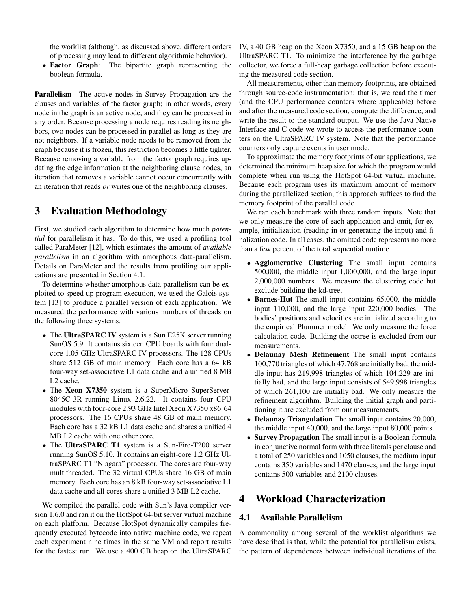the worklist (although, as discussed above, different orders of processing may lead to different algorithmic behavior).

• Factor Graph: The bipartite graph representing the boolean formula.

**Parallelism** The active nodes in Survey Propagation are the clauses and variables of the factor graph; in other words, every node in the graph is an active node, and they can be processed in any order. Because processing a node requires reading its neighbors, two nodes can be processed in parallel as long as they are not neighbors. If a variable node needs to be removed from the graph because it is frozen, this restriction becomes a little tighter. Because removing a variable from the factor graph requires updating the edge information at the neighboring clause nodes, an iteration that removes a variable cannot occur concurrently with an iteration that reads *or* writes one of the neighboring clauses.

# 3 Evaluation Methodology

First, we studied each algorithm to determine how much *potential* for parallelism it has. To do this, we used a profiling tool called ParaMeter [12], which estimates the amount of *available parallelism* in an algorithm with amorphous data-parallelism. Details on ParaMeter and the results from profiling our applications are presented in Section 4.1.

To determine whether amorphous data-parallelism can be exploited to speed up program execution, we used the Galois system [13] to produce a parallel version of each application. We measured the performance with various numbers of threads on the following three systems.

- The UltraSPARC IV system is a Sun E25K server running SunOS 5.9. It contains sixteen CPU boards with four dualcore 1.05 GHz UltraSPARC IV processors. The 128 CPUs share 512 GB of main memory. Each core has a 64 kB four-way set-associative L1 data cache and a unified 8 MB L2 cache.
- The Xeon X7350 system is a SuperMicro SuperServer-8045C-3R running Linux 2.6.22. It contains four CPU modules with four-core 2.93 GHz Intel Xeon X7350 x86 64 processors. The 16 CPUs share 48 GB of main memory. Each core has a 32 kB L1 data cache and shares a unified 4 MB L2 cache with one other core.
- The UltraSPARC T1 system is a Sun-Fire-T200 server running SunOS 5.10. It contains an eight-core 1.2 GHz UltraSPARC T1 "Niagara" processor. The cores are four-way multithreaded. The 32 virtual CPUs share 16 GB of main memory. Each core has an 8 kB four-way set-associative L1 data cache and all cores share a unified 3 MB L2 cache.

We compiled the parallel code with Sun's Java compiler version 1.6.0 and ran it on the HotSpot 64-bit server virtual machine on each platform. Because HotSpot dynamically compiles frequently executed bytecode into native machine code, we repeat each experiment nine times in the same VM and report results for the fastest run. We use a 400 GB heap on the UltraSPARC IV, a 40 GB heap on the Xeon X7350, and a 15 GB heap on the UltraSPARC T1. To minimize the interference by the garbage collector, we force a full-heap garbage collection before executing the measured code section.

All measurements, other than memory footprints, are obtained through source-code instrumentation; that is, we read the timer (and the CPU performance counters where applicable) before and after the measured code section, compute the difference, and write the result to the standard output. We use the Java Native Interface and C code we wrote to access the performance counters on the UltraSPARC IV system. Note that the performance counters only capture events in user mode.

To approximate the memory footprints of our applications, we determined the minimum heap size for which the program would complete when run using the HotSpot 64-bit virtual machine. Because each program uses its maximum amount of memory during the parallelized section, this approach suffices to find the memory footprint of the parallel code.

We ran each benchmark with three random inputs. Note that we only measure the core of each application and omit, for example, initialization (reading in or generating the input) and finalization code. In all cases, the omitted code represents no more than a few percent of the total sequential runtime.

- Agglomerative Clustering The small input contains 500,000, the middle input 1,000,000, and the large input 2,000,000 numbers. We measure the clustering code but exclude building the kd-tree.
- Barnes-Hut The small input contains 65,000, the middle input 110,000, and the large input 220,000 bodies. The bodies' positions and velocities are initialized according to the empirical Plummer model. We only measure the force calculation code. Building the octree is excluded from our measurements.
- Delaunay Mesh Refinement The small input contains 100,770 triangles of which 47,768 are initially bad, the middle input has 219,998 triangles of which 104,229 are initially bad, and the large input consists of 549,998 triangles of which 261,100 are initially bad. We only measure the refinement algorithm. Building the initial graph and partitioning it are excluded from our measurements.
- Delaunay Triangulation The small input contains 20,000, the middle input 40,000, and the large input 80,000 points.
- Survey Propagation The small input is a Boolean formula in conjunctive normal form with three literals per clause and a total of 250 variables and 1050 clauses, the medium input contains 350 variables and 1470 clauses, and the large input contains 500 variables and 2100 clauses.

## 4 Workload Characterization

### 4.1 Available Parallelism

A commonality among several of the worklist algorithms we have described is that, while the potential for parallelism exists, the pattern of dependences between individual iterations of the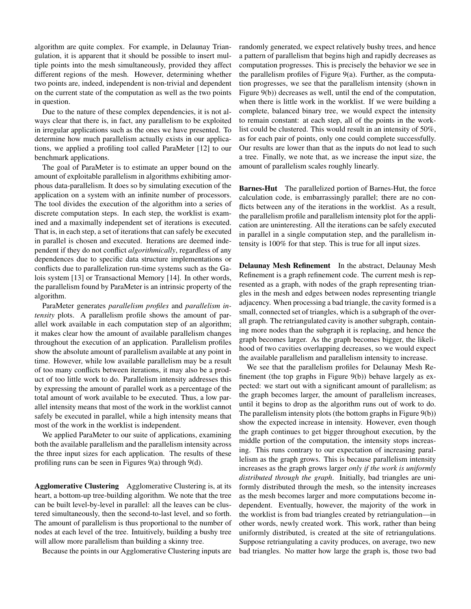algorithm are quite complex. For example, in Delaunay Triangulation, it is apparent that it should be possible to insert multiple points into the mesh simultaneously, provided they affect different regions of the mesh. However, determining whether two points are, indeed, independent is non-trivial and dependent on the current state of the computation as well as the two points in question.

Due to the nature of these complex dependencies, it is not always clear that there is, in fact, any parallelism to be exploited in irregular applications such as the ones we have presented. To determine how much parallelism actually exists in our applications, we applied a profiling tool called ParaMeter [12] to our benchmark applications.

The goal of ParaMeter is to estimate an upper bound on the amount of exploitable parallelism in algorithms exhibiting amorphous data-parallelism. It does so by simulating execution of the application on a system with an infinite number of processors. The tool divides the execution of the algorithm into a series of discrete computation steps. In each step, the worklist is examined and a maximally independent set of iterations is executed. That is, in each step, a set of iterations that can safely be executed in parallel is chosen and executed. Iterations are deemed independent if they do not conflict *algorithmically*, regardless of any dependences due to specific data structure implementations or conflicts due to parallelization run-time systems such as the Galois system [13] or Transactional Memory [14]. In other words, the parallelism found by ParaMeter is an intrinsic property of the algorithm.

ParaMeter generates *parallelism profiles* and *parallelism intensity* plots. A parallelism profile shows the amount of parallel work available in each computation step of an algorithm; it makes clear how the amount of available parallelism changes throughout the execution of an application. Parallelism profiles show the absolute amount of parallelism available at any point in time. However, while low available parallelism may be a result of too many conflicts between iterations, it may also be a product of too little work to do. Parallelism intensity addresses this by expressing the amount of parallel work as a percentage of the total amount of work available to be executed. Thus, a low parallel intensity means that most of the work in the worklist cannot safely be executed in parallel, while a high intensity means that most of the work in the worklist is independent.

We applied ParaMeter to our suite of applications, examining both the available parallelism and the parallelism intensity across the three input sizes for each application. The results of these profiling runs can be seen in Figures 9(a) through 9(d).

Agglomerative Clustering Agglomerative Clustering is, at its heart, a bottom-up tree-building algorithm. We note that the tree can be built level-by-level in parallel: all the leaves can be clustered simultaneously, then the second-to-last level, and so forth. The amount of parallelism is thus proportional to the number of nodes at each level of the tree. Intuitively, building a bushy tree will allow more parallelism than building a skinny tree.

Because the points in our Agglomerative Clustering inputs are

randomly generated, we expect relatively bushy trees, and hence a pattern of parallelism that begins high and rapidly decreases as computation progresses. This is precisely the behavior we see in the parallelism profiles of Figure 9(a). Further, as the computation progresses, we see that the parallelism intensity (shown in Figure 9(b)) decreases as well, until the end of the computation, when there is little work in the worklist. If we were building a complete, balanced binary tree, we would expect the intensity to remain constant: at each step, all of the points in the worklist could be clustered. This would result in an intensity of 50%, as for each pair of points, only one could complete successfully. Our results are lower than that as the inputs do not lead to such a tree. Finally, we note that, as we increase the input size, the amount of parallelism scales roughly linearly.

Barnes-Hut The parallelized portion of Barnes-Hut, the force calculation code, is embarrassingly parallel; there are no conflicts between any of the iterations in the worklist. As a result, the parallelism profile and parallelism intensity plot for the application are uninteresting. All the iterations can be safely executed in parallel in a single computation step, and the parallelism intensity is 100% for that step. This is true for all input sizes.

Delaunay Mesh Refinement In the abstract, Delaunay Mesh Refinement is a graph refinement code. The current mesh is represented as a graph, with nodes of the graph representing triangles in the mesh and edges between nodes representing triangle adjacency. When processing a bad triangle, the cavity formed is a small, connected set of triangles, which is a subgraph of the overall graph. The retriangulated cavity is another subgraph, containing more nodes than the subgraph it is replacing, and hence the graph becomes larger. As the graph becomes bigger, the likelihood of two cavities overlapping decreases, so we would expect the available parallelism and parallelism intensity to increase.

We see that the parallelism profiles for Delaunay Mesh Refinement (the top graphs in Figure 9(b)) behave largely as expected: we start out with a significant amount of parallelism; as the graph becomes larger, the amount of parallelism increases, until it begins to drop as the algorithm runs out of work to do. The parallelism intensity plots (the bottom graphs in Figure 9(b)) show the expected increase in intensity. However, even though the graph continues to get bigger throughout execution, by the middle portion of the computation, the intensity stops increasing. This runs contrary to our expectation of increasing parallelism as the graph grows. This is because parallelism intensity increases as the graph grows larger *only if the work is uniformly distributed through the graph*. Initially, bad triangles are uniformly distributed through the mesh, so the intensity increases as the mesh becomes larger and more computations become independent. Eventually, however, the majority of the work in the worklist is from bad triangles created by retriangulation—in other words, newly created work. This work, rather than being uniformly distributed, is created at the site of retriangulations. Suppose retriangulating a cavity produces, on average, two new bad triangles. No matter how large the graph is, those two bad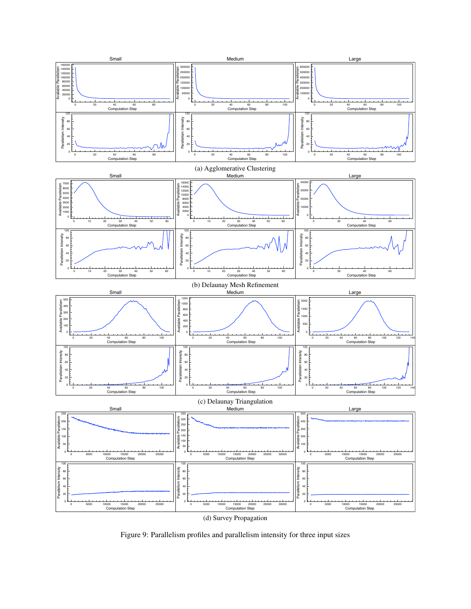

Figure 9: Parallelism profiles and parallelism intensity for three input sizes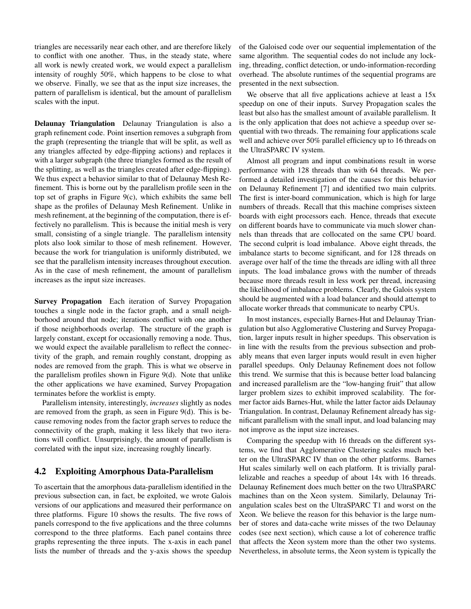triangles are necessarily near each other, and are therefore likely to conflict with one another. Thus, in the steady state, where all work is newly created work, we would expect a parallelism intensity of roughly 50%, which happens to be close to what we observe. Finally, we see that as the input size increases, the pattern of parallelism is identical, but the amount of parallelism scales with the input.

Delaunay Triangulation Delaunay Triangulation is also a graph refinement code. Point insertion removes a subgraph from the graph (representing the triangle that will be split, as well as any triangles affected by edge-flipping actions) and replaces it with a larger subgraph (the three triangles formed as the result of the splitting, as well as the triangles created after edge-flipping). We thus expect a behavior similar to that of Delaunay Mesh Refinement. This is borne out by the parallelism profile seen in the top set of graphs in Figure 9(c), which exhibits the same bell shape as the profiles of Delaunay Mesh Refinement. Unlike in mesh refinement, at the beginning of the computation, there is effectively no parallelism. This is because the initial mesh is very small, consisting of a single triangle. The parallelism intensity plots also look similar to those of mesh refinement. However, because the work for triangulation is uniformly distributed, we see that the parallelism intensity increases throughout execution. As in the case of mesh refinement, the amount of parallelism increases as the input size increases.

Survey Propagation Each iteration of Survey Propagation touches a single node in the factor graph, and a small neighborhood around that node; iterations conflict with one another if those neighborhoods overlap. The structure of the graph is largely constant, except for occasionally removing a node. Thus, we would expect the available parallelism to reflect the connectivity of the graph, and remain roughly constant, dropping as nodes are removed from the graph. This is what we observe in the parallelism profiles shown in Figure 9(d). Note that unlike the other applications we have examined, Survey Propagation terminates before the worklist is empty.

Parallelism intensity, interestingly, *increases* slightly as nodes are removed from the graph, as seen in Figure 9(d). This is because removing nodes from the factor graph serves to reduce the connectivity of the graph, making it less likely that two iterations will conflict. Unsurprisingly, the amount of parallelism is correlated with the input size, increasing roughly linearly.

### 4.2 Exploiting Amorphous Data-Parallelism

To ascertain that the amorphous data-parallelism identified in the previous subsection can, in fact, be exploited, we wrote Galois versions of our applications and measured their performance on three platforms. Figure 10 shows the results. The five rows of panels correspond to the five applications and the three columns correspond to the three platforms. Each panel contains three graphs representing the three inputs. The x-axis in each panel lists the number of threads and the y-axis shows the speedup of the Galoised code over our sequential implementation of the same algorithm. The sequential codes do not include any locking, threading, conflict detection, or undo-information-recording overhead. The absolute runtimes of the sequential programs are presented in the next subsection.

We observe that all five applications achieve at least a 15x speedup on one of their inputs. Survey Propagation scales the least but also has the smallest amount of available parallelism. It is the only application that does not achieve a speedup over sequential with two threads. The remaining four applications scale well and achieve over 50% parallel efficiency up to 16 threads on the UltraSPARC IV system.

Almost all program and input combinations result in worse performance with 128 threads than with 64 threads. We performed a detailed investigation of the causes for this behavior on Delaunay Refinement [7] and identified two main culprits. The first is inter-board communication, which is high for large numbers of threads. Recall that this machine comprises sixteen boards with eight processors each. Hence, threads that execute on different boards have to communicate via much slower channels than threads that are collocated on the same CPU board. The second culprit is load imbalance. Above eight threads, the imbalance starts to become significant, and for 128 threads on average over half of the time the threads are idling with all three inputs. The load imbalance grows with the number of threads because more threads result in less work per thread, increasing the likelihood of imbalance problems. Clearly, the Galois system should be augmented with a load balancer and should attempt to allocate worker threads that communicate to nearby CPUs.

In most instances, especially Barnes-Hut and Delaunay Triangulation but also Agglomerative Clustering and Survey Propagation, larger inputs result in higher speedups. This observation is in line with the results from the previous subsection and probably means that even larger inputs would result in even higher parallel speedups. Only Delaunay Refinement does not follow this trend. We surmise that this is because better load balancing and increased parallelism are the "low-hanging fruit" that allow larger problem sizes to exhibit improved scalability. The former factor aids Barnes-Hut, while the latter factor aids Delaunay Triangulation. In contrast, Delaunay Refinement already has significant parallelism with the small input, and load balancing may not improve as the input size increases.

Comparing the speedup with 16 threads on the different systems, we find that Agglomerative Clustering scales much better on the UltraSPARC IV than on the other platforms. Barnes Hut scales similarly well on each platform. It is trivially parallelizable and reaches a speedup of about 14x with 16 threads. Delaunay Refinement does much better on the two UltraSPARC machines than on the Xeon system. Similarly, Delaunay Triangulation scales best on the UltraSPARC T1 and worst on the Xeon. We believe the reason for this behavior is the large number of stores and data-cache write misses of the two Delaunay codes (see next section), which cause a lot of coherence traffic that affects the Xeon system more than the other two systems. Nevertheless, in absolute terms, the Xeon system is typically the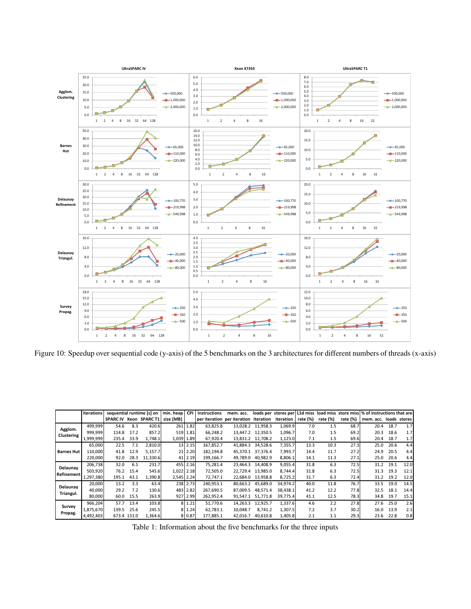

Figure 10: Speedup over sequential code (y-axis) of the 5 benchmarks on the 3 architectures for different numbers of threads (x-axis)

|                        | iterations | sequential runtime [s] on |      |                        | min. heap CPI |          | instructions                          | mem. acc. |                   |           |          |          |          | loads per stores per 1.1d miss load miss store miss % of instructions that are |      |        |
|------------------------|------------|---------------------------|------|------------------------|---------------|----------|---------------------------------------|-----------|-------------------|-----------|----------|----------|----------|--------------------------------------------------------------------------------|------|--------|
|                        |            |                           |      | SPARC IV Xeon SPARC T1 | size [MB]     |          | per iteration per iteration iteration |           |                   | iteration | rate (%) | rate (%) | rate (%) | mem. acc. loads                                                                |      | stores |
| Agglom.<br>Clustering  | 499.999    | 54.6                      | 8.3  | 420.6                  |               | 261 1.82 | 63,825.8                              | 13.028.2  | 11,958.3          | 1,069.9   | 7.0      | 1.5      | 68.7     | 20.4                                                                           | 18.7 | 1.7    |
|                        | 999,999    | 114.8                     | 17.2 | 857.2                  |               | 519 1.81 | 66.248.2                              | 13.447.2  | 12.350.5          | 1,096.7   | 7.0      | 1.5      | 69.2     | 20.3                                                                           | 18.6 | 1.7    |
|                        | 1,999,999  | 235.4                     | 33.9 | 1.748.1                | 1,039 1.89    |          | 67,920.4                              |           | 13.831.2 12.708.2 | 1,123.0   | 7.1      | 1.5      | 69.6     | 20.4                                                                           | 18.7 | 1.7    |
| <b>Barnes Hut</b>      | 65,000     | 22.5                      | 7.1  | 2,810.0                |               | 13 2.15  | 167,852.7                             | 41.884.3  | 34.528.6          | 7,355.7   | 13.3     | 10.3     | 27.3     | 25.0                                                                           | 20.6 | 4.4    |
|                        | 110,000    | 41.8                      | 12.9 | 5,157.7                |               | 21 2.20  | 182,194.8                             | 45.370.1  | 37.376.4          | 7,993.7   | 14.4     | 11.7     | 27.2     | 24.9                                                                           | 20.5 | 4.4    |
|                        | 220,000    | 92.0                      | 28.3 | 11,330.6               |               | 41 2.19  | 199,166.7                             | 49.789.0  | 40.982.9          | 8,806.1   | 14.1     | 11.3     | 27.1     | 25.0                                                                           | 20.6 | 4.4    |
| Delaunay<br>Refinement | 206,738    | 32.0                      | 6.1  | 231.7                  |               | 455 2.16 | 75,281.4                              | 23,464.3  | 14.408.9          | 9,055.4   | 31.8     | 6.3      | 72.5     | 31.2                                                                           | 19.1 | 12.0   |
|                        | 503,920    | 76.2                      | 15.4 | 545.6                  | 1,022 2.18    |          | 72,505.0                              | 22,729.4  | 13.985.0          | 8.744.4   | 31.8     | 6.3      | 72.5     | 31.3                                                                           | 19.3 | 12.1   |
|                        | 1,297,380  | 195.1                     | 43.1 | 1,390.8                | 2,545 2.24    |          | 72,747.1                              | 22,684.0  | 13,958.8          | 8,725.2   | 31.7     | 6.3      | 72.4     | 31.2                                                                           | 19.2 | 12.0   |
| Delaunay<br>Triangul.  | 20,000     | 13.2                      | 3.3  | 63.4                   |               | 238 2.73 | 240,953.1                             | 80.663.2  | 45.689.0          | 34.974.2  | 40.0     | 11.8     | 76.7     | 33.5                                                                           | 19.0 | 14.5   |
|                        | 40,000     | 29.2                      | 7.2  | 130.6                  |               | 483 2.82 | 267,690.5                             | 87.009.5  | 48.571.4          | 38.438.1  | 41.2     | 12.2     | 77.8     | 32.5                                                                           | 18.1 | 14.4   |
|                        | 80,000     | 60.0                      | 15.5 | 263.9                  |               | 927 2.99 | 262,952.4                             | 91,547.1  | 51,771.8          | 39,775.4  | 41.1     | 12.5     | 78.3     | 34.8                                                                           | 19.7 | 15.1   |
| Survey<br>Propag.      | 966.204    | 57.7                      | 13.4 | 103.8                  |               | 8 1.21   | 51.770.6                              | 14.263.3  | 12.925.7          | 1.337.6   | 4.6      | 2.2      | 27.8     | 27.6                                                                           | 25.0 | 2.6    |
|                        | 1,875,670  | 139.5                     | 25.6 | 245.5                  |               | 8 1.24   | 62.783.1                              | 10,048.7  | 8.741.2           | 1,307.5   | 7.2      | 3.7      | 30.2     | 16.0                                                                           | 13.9 | 2.1    |
|                        | 4,492,403  | 673.4 131.0               |      | 1,364.6                |               | 8 0.87   | 177,885.1                             | 42.016.7  | 40.610.8          | 1,405.8   | 2.1      | 1.1      | 29.3     | 23.6                                                                           | 22.8 | 0.8    |

Table 1: Information about the five benchmarks for the three inputs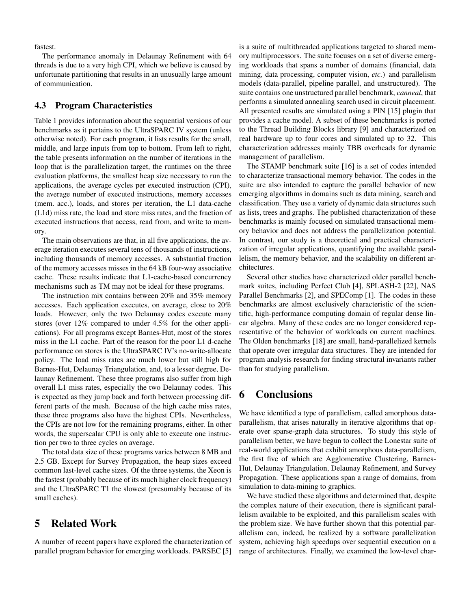fastest.

The performance anomaly in Delaunay Refinement with 64 threads is due to a very high CPI, which we believe is caused by unfortunate partitioning that results in an unusually large amount of communication.

#### 4.3 Program Characteristics

Table 1 provides information about the sequential versions of our benchmarks as it pertains to the UltraSPARC IV system (unless otherwise noted). For each program, it lists results for the small, middle, and large inputs from top to bottom. From left to right, the table presents information on the number of iterations in the loop that is the parallelization target, the runtimes on the three evaluation platforms, the smallest heap size necessary to run the applications, the average cycles per executed instruction (CPI), the average number of executed instructions, memory accesses (mem. acc.), loads, and stores per iteration, the L1 data-cache (L1d) miss rate, the load and store miss rates, and the fraction of executed instructions that access, read from, and write to memory.

The main observations are that, in all five applications, the average iteration executes several tens of thousands of instructions, including thousands of memory accesses. A substantial fraction of the memory accesses misses in the 64 kB four-way associative cache. These results indicate that L1-cache-based concurrency mechanisms such as TM may not be ideal for these programs.

The instruction mix contains between 20% and 35% memory accesses. Each application executes, on average, close to 20% loads. However, only the two Delaunay codes execute many stores (over 12% compared to under 4.5% for the other applications). For all programs except Barnes-Hut, most of the stores miss in the L1 cache. Part of the reason for the poor L1 d-cache performance on stores is the UltraSPARC IV's no-write-allocate policy. The load miss rates are much lower but still high for Barnes-Hut, Delaunay Triangulation, and, to a lesser degree, Delaunay Refinement. These three programs also suffer from high overall L1 miss rates, especially the two Delaunay codes. This is expected as they jump back and forth between processing different parts of the mesh. Because of the high cache miss rates, these three programs also have the highest CPIs. Nevertheless, the CPIs are not low for the remaining programs, either. In other words, the superscalar CPU is only able to execute one instruction per two to three cycles on average.

The total data size of these programs varies between 8 MB and 2.5 GB. Except for Survey Propagation, the heap sizes exceed common last-level cache sizes. Of the three systems, the Xeon is the fastest (probably because of its much higher clock frequency) and the UltraSPARC T1 the slowest (presumably because of its small caches).

## 5 Related Work

A number of recent papers have explored the characterization of parallel program behavior for emerging workloads. PARSEC [5]

is a suite of multithreaded applications targeted to shared memory multiprocessors. The suite focuses on a set of diverse emerging workloads that spans a number of domains (financial, data mining, data processing, computer vision, *etc.*) and parallelism models (data-parallel, pipeline parallel, and unstructured). The suite contains one unstructured parallel benchmark, *canneal*, that performs a simulated annealing search used in circuit placement. All presented results are simulated using a PIN [15] plugin that provides a cache model. A subset of these benchmarks is ported to the Thread Building Blocks library [9] and characterized on real hardware up to four cores and simulated up to 32. This characterization addresses mainly TBB overheads for dynamic management of parallelism.

The STAMP benchmark suite [16] is a set of codes intended to characterize transactional memory behavior. The codes in the suite are also intended to capture the parallel behavior of new emerging algorithms in domains such as data mining, search and classification. They use a variety of dynamic data structures such as lists, trees and graphs. The published characterization of these benchmarks is mainly focused on simulated transactional memory behavior and does not address the parallelization potential. In contrast, our study is a theoretical and practical characterization of irregular applications, quantifying the available parallelism, the memory behavior, and the scalability on different architectures.

Several other studies have characterized older parallel benchmark suites, including Perfect Club [4], SPLASH-2 [22], NAS Parallel Benchmarks [2], and SPEComp [1]. The codes in these benchmarks are almost exclusively characteristic of the scientific, high-performance computing domain of regular dense linear algebra. Many of these codes are no longer considered representative of the behavior of workloads on current machines. The Olden benchmarks [18] are small, hand-parallelized kernels that operate over irregular data structures. They are intended for program analysis research for finding structural invariants rather than for studying parallelism.

### 6 Conclusions

We have identified a type of parallelism, called amorphous dataparallelism, that arises naturally in iterative algorithms that operate over sparse-graph data structures. To study this style of parallelism better, we have begun to collect the Lonestar suite of real-world applications that exhibit amorphous data-parallelism, the first five of which are Agglomerative Clustering, Barnes-Hut, Delaunay Triangulation, Delaunay Refinement, and Survey Propagation. These applications span a range of domains, from simulation to data-mining to graphics.

We have studied these algorithms and determined that, despite the complex nature of their execution, there is significant parallelism available to be exploited, and this parallelism scales with the problem size. We have further shown that this potential parallelism can, indeed, be realized by a software parallelization system, achieving high speedups over sequential execution on a range of architectures. Finally, we examined the low-level char